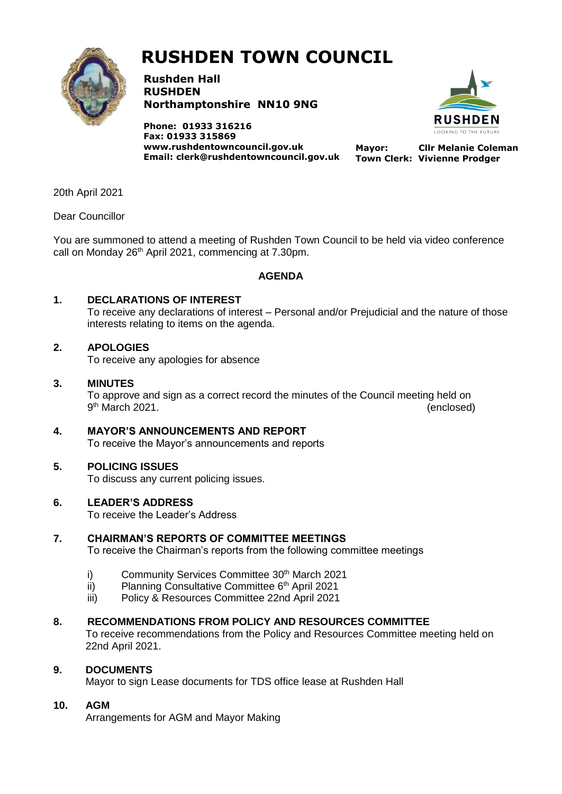

# **RUSHDEN TOWN COUNCIL**

**Rushden Hall RUSHDEN Northamptonshire NN10 9NG**

**Phone: 01933 316216 Fax: 01933 315869 [www.rushdentowncouncil.gov.uk](http://www.rushdentowncouncil.gov.uk/) Email: clerk@rushdentowncouncil.gov.uk**

**RUSHDEN** LOOKING TO THE EUTURE

**Mayor: Cllr Melanie Coleman Town Clerk: Vivienne Prodger**

20th April 2021

Dear Councillor

You are summoned to attend a meeting of Rushden Town Council to be held via video conference call on Monday 26<sup>th</sup> April 2021, commencing at 7.30pm.

# **AGENDA**

# **1. DECLARATIONS OF INTEREST**

To receive any declarations of interest – Personal and/or Prejudicial and the nature of those interests relating to items on the agenda.

# **2. APOLOGIES**

To receive any apologies for absence

# **3. MINUTES**

To approve and sign as a correct record the minutes of the Council meeting held on 9 th March 2021. (enclosed)

**4. MAYOR'S ANNOUNCEMENTS AND REPORT** To receive the Mayor's announcements and reports

# **5. POLICING ISSUES**

To discuss any current policing issues.

#### **6. LEADER'S ADDRESS**

To receive the Leader's Address

#### **7. CHAIRMAN'S REPORTS OF COMMITTEE MEETINGS**

To receive the Chairman's reports from the following committee meetings

- i) Community Services Committee 30<sup>th</sup> March 2021
- ii) Planning Consultative Committee  $6<sup>th</sup>$  April 2021
- iii) Policy & Resources Committee 22nd April 2021

#### **8. RECOMMENDATIONS FROM POLICY AND RESOURCES COMMITTEE**

To receive recommendations from the Policy and Resources Committee meeting held on 22nd April 2021.

#### **9. DOCUMENTS**

Mayor to sign Lease documents for TDS office lease at Rushden Hall

#### **10. AGM**

Arrangements for AGM and Mayor Making